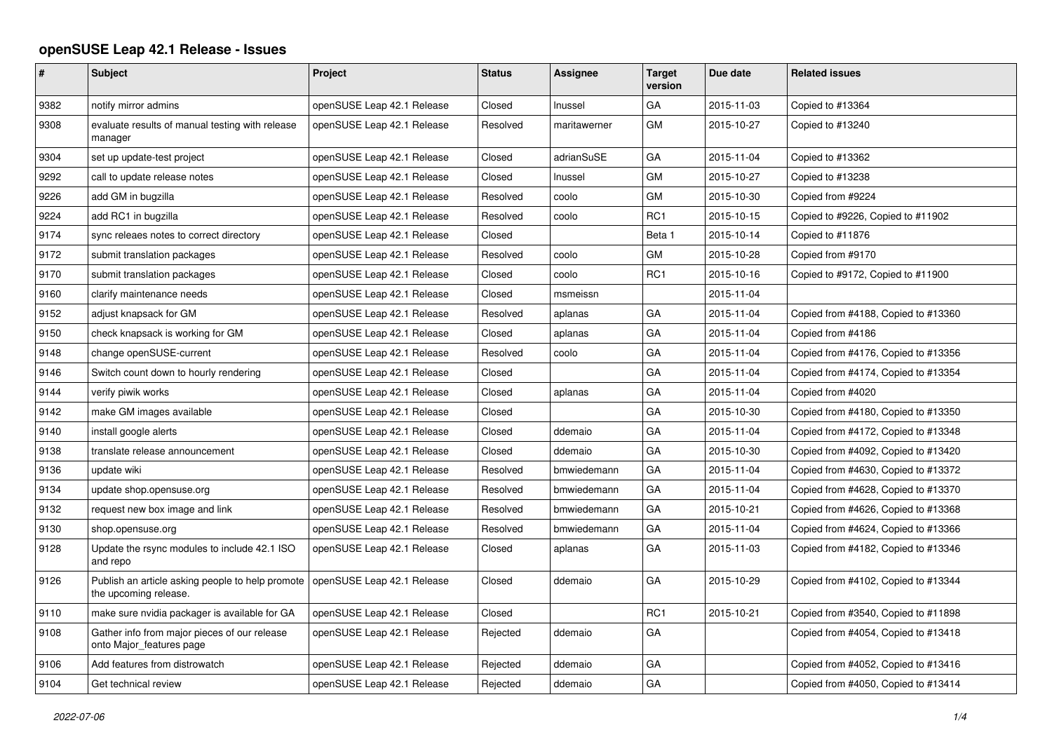## **openSUSE Leap 42.1 Release - Issues**

| $\vert$ # | <b>Subject</b>                                                            | Project                    | <b>Status</b> | Assignee     | <b>Target</b><br>version | Due date   | <b>Related issues</b>               |
|-----------|---------------------------------------------------------------------------|----------------------------|---------------|--------------|--------------------------|------------|-------------------------------------|
| 9382      | notify mirror admins                                                      | openSUSE Leap 42.1 Release | Closed        | Inussel      | GA                       | 2015-11-03 | Copied to #13364                    |
| 9308      | evaluate results of manual testing with release<br>manager                | openSUSE Leap 42.1 Release | Resolved      | maritawerner | GМ                       | 2015-10-27 | Copied to #13240                    |
| 9304      | set up update-test project                                                | openSUSE Leap 42.1 Release | Closed        | adrianSuSE   | GA                       | 2015-11-04 | Copied to #13362                    |
| 9292      | call to update release notes                                              | openSUSE Leap 42.1 Release | Closed        | Inussel      | GМ                       | 2015-10-27 | Copied to #13238                    |
| 9226      | add GM in bugzilla                                                        | openSUSE Leap 42.1 Release | Resolved      | coolo        | <b>GM</b>                | 2015-10-30 | Copied from #9224                   |
| 9224      | add RC1 in bugzilla                                                       | openSUSE Leap 42.1 Release | Resolved      | coolo        | RC1                      | 2015-10-15 | Copied to #9226, Copied to #11902   |
| 9174      | sync releaes notes to correct directory                                   | openSUSE Leap 42.1 Release | Closed        |              | Beta 1                   | 2015-10-14 | Copied to #11876                    |
| 9172      | submit translation packages                                               | openSUSE Leap 42.1 Release | Resolved      | coolo        | <b>GM</b>                | 2015-10-28 | Copied from #9170                   |
| 9170      | submit translation packages                                               | openSUSE Leap 42.1 Release | Closed        | coolo        | RC1                      | 2015-10-16 | Copied to #9172, Copied to #11900   |
| 9160      | clarify maintenance needs                                                 | openSUSE Leap 42.1 Release | Closed        | msmeissn     |                          | 2015-11-04 |                                     |
| 9152      | adjust knapsack for GM                                                    | openSUSE Leap 42.1 Release | Resolved      | aplanas      | GA                       | 2015-11-04 | Copied from #4188, Copied to #13360 |
| 9150      | check knapsack is working for GM                                          | openSUSE Leap 42.1 Release | Closed        | aplanas      | GA                       | 2015-11-04 | Copied from #4186                   |
| 9148      | change openSUSE-current                                                   | openSUSE Leap 42.1 Release | Resolved      | coolo        | GА                       | 2015-11-04 | Copied from #4176, Copied to #13356 |
| 9146      | Switch count down to hourly rendering                                     | openSUSE Leap 42.1 Release | Closed        |              | GA                       | 2015-11-04 | Copied from #4174, Copied to #13354 |
| 9144      | verify piwik works                                                        | openSUSE Leap 42.1 Release | Closed        | aplanas      | GA                       | 2015-11-04 | Copied from #4020                   |
| 9142      | make GM images available                                                  | openSUSE Leap 42.1 Release | Closed        |              | GA                       | 2015-10-30 | Copied from #4180, Copied to #13350 |
| 9140      | install google alerts                                                     | openSUSE Leap 42.1 Release | Closed        | ddemaio      | GA                       | 2015-11-04 | Copied from #4172, Copied to #13348 |
| 9138      | translate release announcement                                            | openSUSE Leap 42.1 Release | Closed        | ddemaio      | GA                       | 2015-10-30 | Copied from #4092, Copied to #13420 |
| 9136      | update wiki                                                               | openSUSE Leap 42.1 Release | Resolved      | bmwiedemann  | GA                       | 2015-11-04 | Copied from #4630, Copied to #13372 |
| 9134      | update shop.opensuse.org                                                  | openSUSE Leap 42.1 Release | Resolved      | bmwiedemann  | GA                       | 2015-11-04 | Copied from #4628, Copied to #13370 |
| 9132      | request new box image and link                                            | openSUSE Leap 42.1 Release | Resolved      | bmwiedemann  | GA                       | 2015-10-21 | Copied from #4626, Copied to #13368 |
| 9130      | shop.opensuse.org                                                         | openSUSE Leap 42.1 Release | Resolved      | bmwiedemann  | GA                       | 2015-11-04 | Copied from #4624, Copied to #13366 |
| 9128      | Update the rsync modules to include 42.1 ISO<br>and repo                  | openSUSE Leap 42.1 Release | Closed        | aplanas      | GA                       | 2015-11-03 | Copied from #4182, Copied to #13346 |
| 9126      | Publish an article asking people to help promote<br>the upcoming release. | openSUSE Leap 42.1 Release | Closed        | ddemaio      | GА                       | 2015-10-29 | Copied from #4102, Copied to #13344 |
| 9110      | make sure nvidia packager is available for GA                             | openSUSE Leap 42.1 Release | Closed        |              | RC1                      | 2015-10-21 | Copied from #3540, Copied to #11898 |
| 9108      | Gather info from major pieces of our release<br>onto Major_features page  | openSUSE Leap 42.1 Release | Rejected      | ddemaio      | GA                       |            | Copied from #4054, Copied to #13418 |
| 9106      | Add features from distrowatch                                             | openSUSE Leap 42.1 Release | Rejected      | ddemaio      | GA                       |            | Copied from #4052, Copied to #13416 |
| 9104      | Get technical review                                                      | openSUSE Leap 42.1 Release | Rejected      | ddemaio      | GA                       |            | Copied from #4050, Copied to #13414 |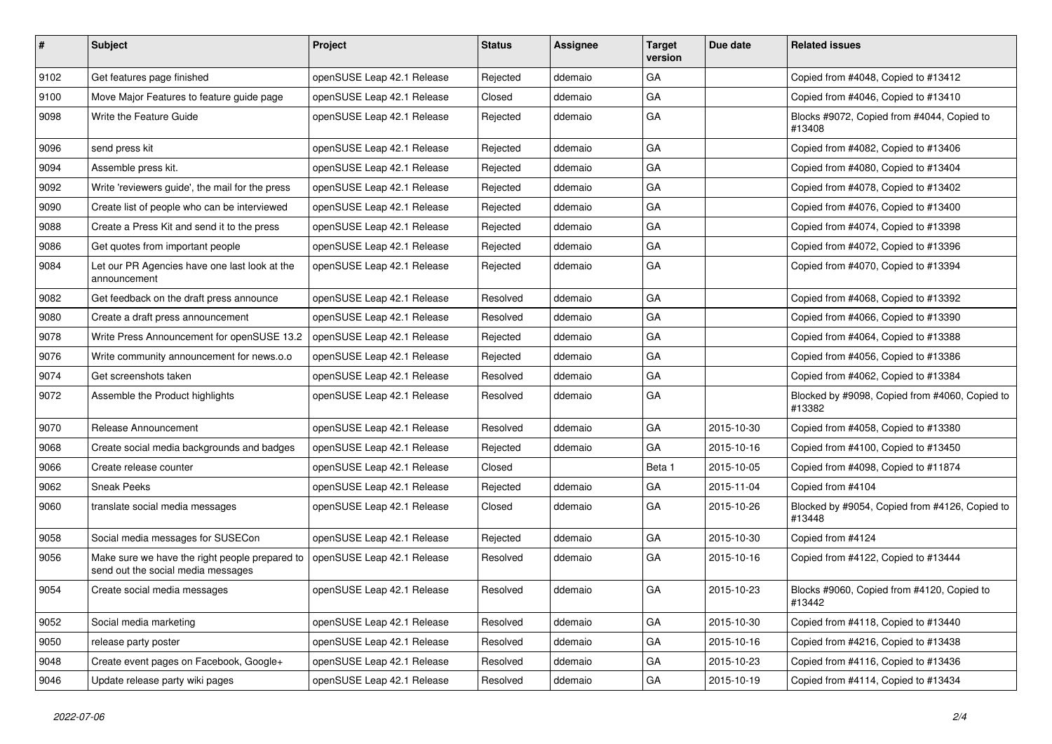| $\pmb{\#}$ | Subject                                                                              | Project                    | <b>Status</b> | <b>Assignee</b> | <b>Target</b><br>version | Due date   | <b>Related issues</b>                                    |
|------------|--------------------------------------------------------------------------------------|----------------------------|---------------|-----------------|--------------------------|------------|----------------------------------------------------------|
| 9102       | Get features page finished                                                           | openSUSE Leap 42.1 Release | Rejected      | ddemaio         | GA                       |            | Copied from #4048, Copied to #13412                      |
| 9100       | Move Major Features to feature guide page                                            | openSUSE Leap 42.1 Release | Closed        | ddemaio         | GA                       |            | Copied from #4046, Copied to #13410                      |
| 9098       | Write the Feature Guide                                                              | openSUSE Leap 42.1 Release | Rejected      | ddemaio         | GA                       |            | Blocks #9072, Copied from #4044, Copied to<br>#13408     |
| 9096       | send press kit                                                                       | openSUSE Leap 42.1 Release | Rejected      | ddemaio         | GA                       |            | Copied from #4082, Copied to #13406                      |
| 9094       | Assemble press kit.                                                                  | openSUSE Leap 42.1 Release | Rejected      | ddemaio         | GA                       |            | Copied from #4080, Copied to #13404                      |
| 9092       | Write 'reviewers quide', the mail for the press                                      | openSUSE Leap 42.1 Release | Rejected      | ddemaio         | GA                       |            | Copied from #4078, Copied to #13402                      |
| 9090       | Create list of people who can be interviewed                                         | openSUSE Leap 42.1 Release | Rejected      | ddemaio         | GA                       |            | Copied from #4076, Copied to #13400                      |
| 9088       | Create a Press Kit and send it to the press                                          | openSUSE Leap 42.1 Release | Rejected      | ddemaio         | GA                       |            | Copied from #4074, Copied to #13398                      |
| 9086       | Get quotes from important people                                                     | openSUSE Leap 42.1 Release | Rejected      | ddemaio         | GA                       |            | Copied from #4072, Copied to #13396                      |
| 9084       | Let our PR Agencies have one last look at the<br>announcement                        | openSUSE Leap 42.1 Release | Rejected      | ddemaio         | GA                       |            | Copied from #4070, Copied to #13394                      |
| 9082       | Get feedback on the draft press announce                                             | openSUSE Leap 42.1 Release | Resolved      | ddemaio         | GA                       |            | Copied from #4068, Copied to #13392                      |
| 9080       | Create a draft press announcement                                                    | openSUSE Leap 42.1 Release | Resolved      | ddemaio         | GA                       |            | Copied from #4066, Copied to #13390                      |
| 9078       | Write Press Announcement for openSUSE 13.2                                           | openSUSE Leap 42.1 Release | Rejected      | ddemaio         | GA                       |            | Copied from #4064, Copied to #13388                      |
| 9076       | Write community announcement for news.o.o                                            | openSUSE Leap 42.1 Release | Rejected      | ddemaio         | GA                       |            | Copied from #4056, Copied to #13386                      |
| 9074       | Get screenshots taken                                                                | openSUSE Leap 42.1 Release | Resolved      | ddemaio         | GA                       |            | Copied from #4062, Copied to #13384                      |
| 9072       | Assemble the Product highlights                                                      | openSUSE Leap 42.1 Release | Resolved      | ddemaio         | GA                       |            | Blocked by #9098, Copied from #4060, Copied to<br>#13382 |
| 9070       | Release Announcement                                                                 | openSUSE Leap 42.1 Release | Resolved      | ddemaio         | GA                       | 2015-10-30 | Copied from #4058, Copied to #13380                      |
| 9068       | Create social media backgrounds and badges                                           | openSUSE Leap 42.1 Release | Rejected      | ddemaio         | GA                       | 2015-10-16 | Copied from #4100, Copied to #13450                      |
| 9066       | Create release counter                                                               | openSUSE Leap 42.1 Release | Closed        |                 | Beta 1                   | 2015-10-05 | Copied from #4098, Copied to #11874                      |
| 9062       | <b>Sneak Peeks</b>                                                                   | openSUSE Leap 42.1 Release | Rejected      | ddemaio         | GA                       | 2015-11-04 | Copied from #4104                                        |
| 9060       | translate social media messages                                                      | openSUSE Leap 42.1 Release | Closed        | ddemaio         | GA                       | 2015-10-26 | Blocked by #9054, Copied from #4126, Copied to<br>#13448 |
| 9058       | Social media messages for SUSECon                                                    | openSUSE Leap 42.1 Release | Rejected      | ddemaio         | GA                       | 2015-10-30 | Copied from #4124                                        |
| 9056       | Make sure we have the right people prepared to<br>send out the social media messages | openSUSE Leap 42.1 Release | Resolved      | ddemaio         | GA                       | 2015-10-16 | Copied from #4122, Copied to #13444                      |
| 9054       | Create social media messages                                                         | openSUSE Leap 42.1 Release | Resolved      | ddemaio         | GA                       | 2015-10-23 | Blocks #9060, Copied from #4120, Copied to<br>#13442     |
| 9052       | Social media marketing                                                               | openSUSE Leap 42.1 Release | Resolved      | ddemaio         | GA                       | 2015-10-30 | Copied from #4118, Copied to #13440                      |
| 9050       | release party poster                                                                 | openSUSE Leap 42.1 Release | Resolved      | ddemaio         | GA                       | 2015-10-16 | Copied from #4216, Copied to #13438                      |
| 9048       | Create event pages on Facebook, Google+                                              | openSUSE Leap 42.1 Release | Resolved      | ddemaio         | GA                       | 2015-10-23 | Copied from #4116, Copied to #13436                      |
| 9046       | Update release party wiki pages                                                      | openSUSE Leap 42.1 Release | Resolved      | ddemaio         | GA                       | 2015-10-19 | Copied from #4114, Copied to #13434                      |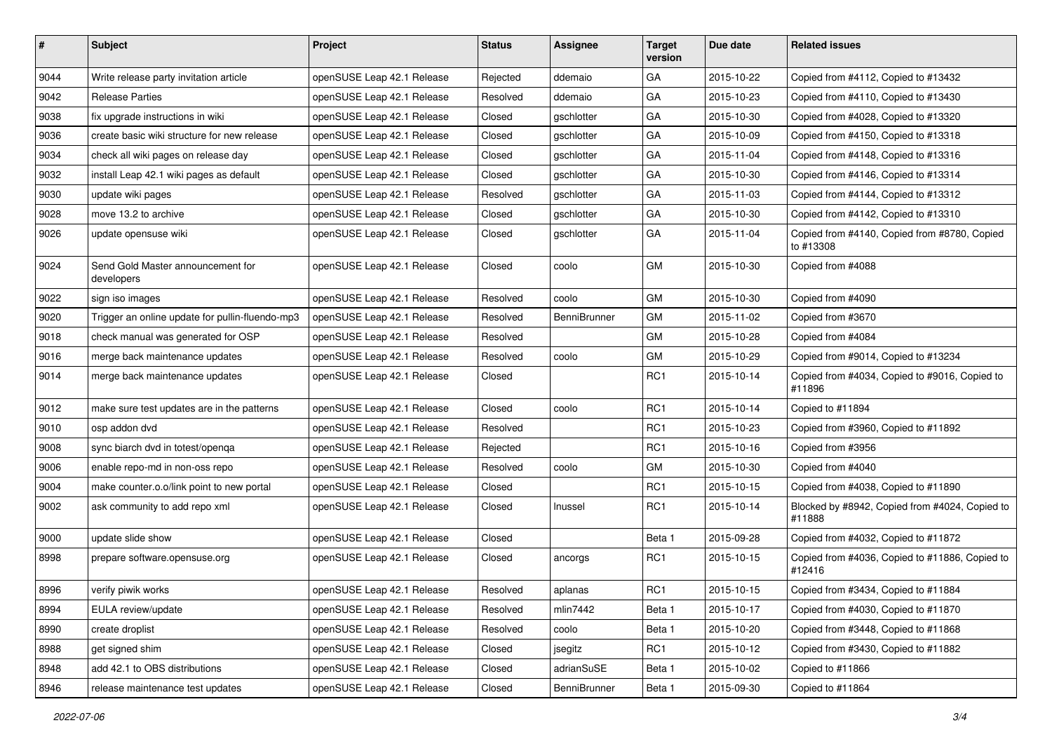| #    | Subject                                         | Project                    | <b>Status</b> | <b>Assignee</b>     | <b>Target</b><br>version | Due date   | <b>Related issues</b>                                     |
|------|-------------------------------------------------|----------------------------|---------------|---------------------|--------------------------|------------|-----------------------------------------------------------|
| 9044 | Write release party invitation article          | openSUSE Leap 42.1 Release | Rejected      | ddemaio             | GA                       | 2015-10-22 | Copied from #4112, Copied to #13432                       |
| 9042 | <b>Release Parties</b>                          | openSUSE Leap 42.1 Release | Resolved      | ddemaio             | GA                       | 2015-10-23 | Copied from #4110, Copied to #13430                       |
| 9038 | fix upgrade instructions in wiki                | openSUSE Leap 42.1 Release | Closed        | gschlotter          | GA                       | 2015-10-30 | Copied from #4028, Copied to #13320                       |
| 9036 | create basic wiki structure for new release     | openSUSE Leap 42.1 Release | Closed        | gschlotter          | GA                       | 2015-10-09 | Copied from #4150, Copied to #13318                       |
| 9034 | check all wiki pages on release day             | openSUSE Leap 42.1 Release | Closed        | gschlotter          | GA                       | 2015-11-04 | Copied from #4148, Copied to #13316                       |
| 9032 | install Leap 42.1 wiki pages as default         | openSUSE Leap 42.1 Release | Closed        | gschlotter          | GA                       | 2015-10-30 | Copied from #4146, Copied to #13314                       |
| 9030 | update wiki pages                               | openSUSE Leap 42.1 Release | Resolved      | gschlotter          | GA                       | 2015-11-03 | Copied from #4144, Copied to #13312                       |
| 9028 | move 13.2 to archive                            | openSUSE Leap 42.1 Release | Closed        | gschlotter          | GA                       | 2015-10-30 | Copied from #4142, Copied to #13310                       |
| 9026 | update opensuse wiki                            | openSUSE Leap 42.1 Release | Closed        | gschlotter          | GA                       | 2015-11-04 | Copied from #4140, Copied from #8780, Copied<br>to #13308 |
| 9024 | Send Gold Master announcement for<br>developers | openSUSE Leap 42.1 Release | Closed        | coolo               | GM                       | 2015-10-30 | Copied from #4088                                         |
| 9022 | sign iso images                                 | openSUSE Leap 42.1 Release | Resolved      | coolo               | <b>GM</b>                | 2015-10-30 | Copied from #4090                                         |
| 9020 | Trigger an online update for pullin-fluendo-mp3 | openSUSE Leap 42.1 Release | Resolved      | <b>BenniBrunner</b> | GM                       | 2015-11-02 | Copied from #3670                                         |
| 9018 | check manual was generated for OSP              | openSUSE Leap 42.1 Release | Resolved      |                     | GM                       | 2015-10-28 | Copied from #4084                                         |
| 9016 | merge back maintenance updates                  | openSUSE Leap 42.1 Release | Resolved      | coolo               | GM                       | 2015-10-29 | Copied from #9014, Copied to #13234                       |
| 9014 | merge back maintenance updates                  | openSUSE Leap 42.1 Release | Closed        |                     | RC1                      | 2015-10-14 | Copied from #4034, Copied to #9016, Copied to<br>#11896   |
| 9012 | make sure test updates are in the patterns      | openSUSE Leap 42.1 Release | Closed        | coolo               | RC1                      | 2015-10-14 | Copied to #11894                                          |
| 9010 | osp addon dvd                                   | openSUSE Leap 42.1 Release | Resolved      |                     | RC1                      | 2015-10-23 | Copied from #3960, Copied to #11892                       |
| 9008 | sync biarch dvd in totest/openga                | openSUSE Leap 42.1 Release | Rejected      |                     | RC <sub>1</sub>          | 2015-10-16 | Copied from #3956                                         |
| 9006 | enable repo-md in non-oss repo                  | openSUSE Leap 42.1 Release | Resolved      | coolo               | <b>GM</b>                | 2015-10-30 | Copied from #4040                                         |
| 9004 | make counter.o.o/link point to new portal       | openSUSE Leap 42.1 Release | Closed        |                     | RC <sub>1</sub>          | 2015-10-15 | Copied from #4038, Copied to #11890                       |
| 9002 | ask community to add repo xml                   | openSUSE Leap 42.1 Release | Closed        | Inussel             | RC <sub>1</sub>          | 2015-10-14 | Blocked by #8942, Copied from #4024, Copied to<br>#11888  |
| 9000 | update slide show                               | openSUSE Leap 42.1 Release | Closed        |                     | Beta 1                   | 2015-09-28 | Copied from #4032, Copied to #11872                       |
| 8998 | prepare software.opensuse.org                   | openSUSE Leap 42.1 Release | Closed        | ancorgs             | RC1                      | 2015-10-15 | Copied from #4036, Copied to #11886, Copied to<br>#12416  |
| 8996 | verify piwik works                              | openSUSE Leap 42.1 Release | Resolved      | aplanas             | RC1                      | 2015-10-15 | Copied from #3434, Copied to #11884                       |
| 8994 | EULA review/update                              | openSUSE Leap 42.1 Release | Resolved      | mlin7442            | Beta 1                   | 2015-10-17 | Copied from #4030, Copied to #11870                       |
| 8990 | create droplist                                 | openSUSE Leap 42.1 Release | Resolved      | coolo               | Beta 1                   | 2015-10-20 | Copied from #3448, Copied to #11868                       |
| 8988 | get signed shim                                 | openSUSE Leap 42.1 Release | Closed        | jsegitz             | RC <sub>1</sub>          | 2015-10-12 | Copied from #3430, Copied to #11882                       |
| 8948 | add 42.1 to OBS distributions                   | openSUSE Leap 42.1 Release | Closed        | adrianSuSE          | Beta 1                   | 2015-10-02 | Copied to #11866                                          |
| 8946 | release maintenance test updates                | openSUSE Leap 42.1 Release | Closed        | BenniBrunner        | Beta 1                   | 2015-09-30 | Copied to #11864                                          |